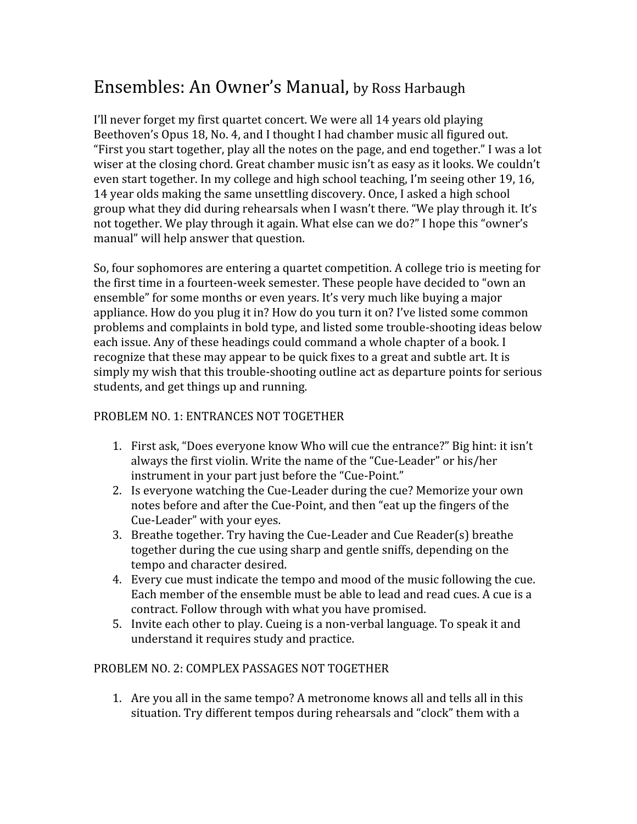# Ensembles: An Owner's Manual, by Ross Harbaugh

I'll never forget my first quartet concert. We were all 14 years old playing Beethoven's Opus 18, No. 4, and I thought I had chamber music all figured out. "First you start together, play all the notes on the page, and end together." I was a lot wiser at the closing chord. Great chamber music isn't as easy as it looks. We couldn't even start together. In my college and high school teaching, I'm seeing other 19, 16, 14 year olds making the same unsettling discovery. Once, I asked a high school group what they did during rehearsals when I wasn't there. "We play through it. It's not together. We play through it again. What else can we do?" I hope this "owner's manual" will help answer that question.

So, four sophomores are entering a quartet competition. A college trio is meeting for the first time in a fourteen-week semester. These people have decided to "own an ensemble" for some months or even years. It's very much like buying a major appliance. How do you plug it in? How do you turn it on? I've listed some common problems and complaints in bold type, and listed some trouble-shooting ideas below each issue. Any of these headings could command a whole chapter of a book. I recognize that these may appear to be quick fixes to a great and subtle art. It is simply my wish that this trouble-shooting outline act as departure points for serious students, and get things up and running.

## PROBLEM NO. 1: ENTRANCES NOT TOGETHER

- 1. First ask, "Does everyone know Who will cue the entrance?" Big hint: it isn't always the first violin. Write the name of the "Cue-Leader" or his/her instrument in your part just before the "Cue-Point."
- 2. Is everyone watching the Cue-Leader during the cue? Memorize your own notes before and after the Cue-Point, and then "eat up the fingers of the Cue-Leader" with your eyes.
- 3. Breathe together. Try having the Cue-Leader and Cue Reader(s) breathe together during the cue using sharp and gentle sniffs, depending on the tempo and character desired.
- 4. Every cue must indicate the tempo and mood of the music following the cue. Each member of the ensemble must be able to lead and read cues. A cue is a contract. Follow through with what you have promised.
- 5. Invite each other to play. Cueing is a non-verbal language. To speak it and understand it requires study and practice.

#### PROBLEM NO. 2: COMPLEX PASSAGES NOT TOGETHER

1. Are you all in the same tempo? A metronome knows all and tells all in this situation. Try different tempos during rehearsals and "clock" them with a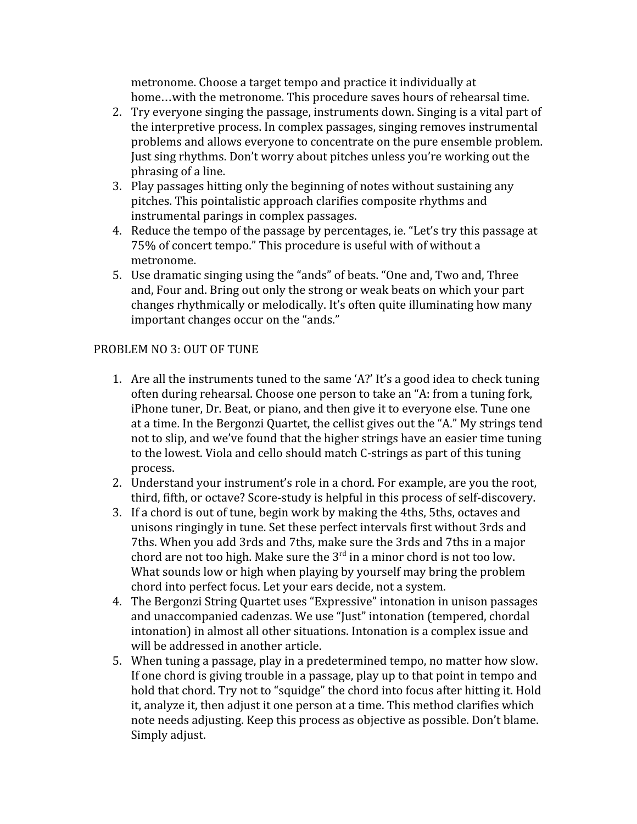metronome. Choose a target tempo and practice it individually at home…with the metronome. This procedure saves hours of rehearsal time.

- 2. Try everyone singing the passage, instruments down. Singing is a vital part of the interpretive process. In complex passages, singing removes instrumental problems and allows everyone to concentrate on the pure ensemble problem. Just sing rhythms. Don't worry about pitches unless you're working out the phrasing of a line.
- 3. Play passages hitting only the beginning of notes without sustaining any pitches. This pointalistic approach clarifies composite rhythms and instrumental parings in complex passages.
- 4. Reduce the tempo of the passage by percentages, ie. "Let's try this passage at 75% of concert tempo." This procedure is useful with of without a metronome.
- 5. Use dramatic singing using the "ands" of beats. "One and, Two and, Three and, Four and. Bring out only the strong or weak beats on which your part changes rhythmically or melodically. It's often quite illuminating how many important changes occur on the "ands."

### PROBLEM NO 3: OUT OF TUNE

- 1. Are all the instruments tuned to the same 'A?' It's a good idea to check tuning often during rehearsal. Choose one person to take an "A: from a tuning fork, iPhone tuner, Dr. Beat, or piano, and then give it to everyone else. Tune one at a time. In the Bergonzi Quartet, the cellist gives out the "A." My strings tend not to slip, and we've found that the higher strings have an easier time tuning to the lowest. Viola and cello should match C-strings as part of this tuning process.
- 2. Understand your instrument's role in a chord. For example, are you the root, third, fifth, or octave? Score-study is helpful in this process of self-discovery.
- 3. If a chord is out of tune, begin work by making the 4ths, 5ths, octaves and unisons ringingly in tune. Set these perfect intervals first without 3rds and 7ths. When you add 3rds and 7ths, make sure the 3rds and 7ths in a major chord are not too high. Make sure the  $3^{rd}$  in a minor chord is not too low. What sounds low or high when playing by yourself may bring the problem chord into perfect focus. Let your ears decide, not a system.
- 4. The Bergonzi String Quartet uses "Expressive" intonation in unison passages and unaccompanied cadenzas. We use "Just" intonation (tempered, chordal intonation) in almost all other situations. Intonation is a complex issue and will be addressed in another article.
- 5. When tuning a passage, play in a predetermined tempo, no matter how slow. If one chord is giving trouble in a passage, play up to that point in tempo and hold that chord. Try not to "squidge" the chord into focus after hitting it. Hold it, analyze it, then adjust it one person at a time. This method clarifies which note needs adjusting. Keep this process as objective as possible. Don't blame. Simply adjust.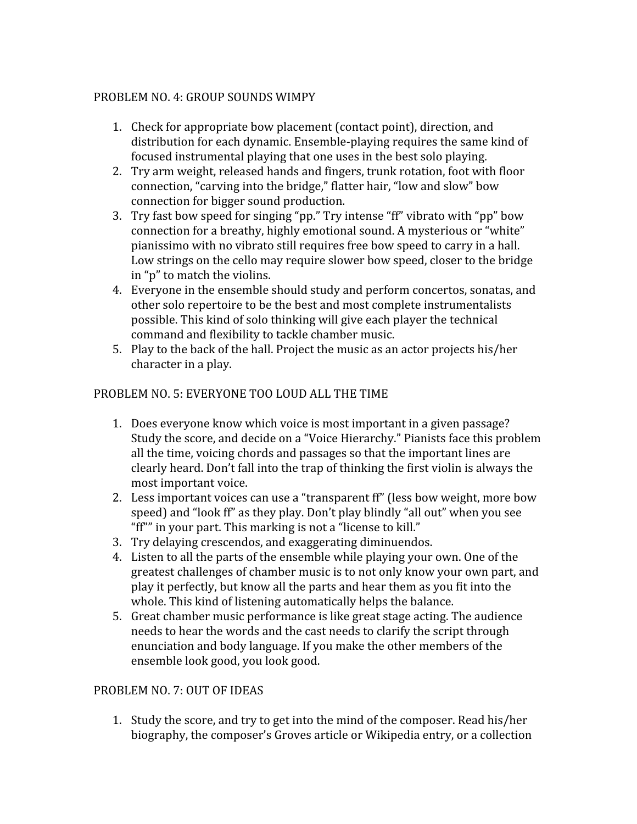### PROBLEM NO. 4: GROUP SOUNDS WIMPY

- 1. Check for appropriate bow placement (contact point), direction, and distribution for each dynamic. Ensemble-playing requires the same kind of focused instrumental playing that one uses in the best solo playing.
- 2. Try arm weight, released hands and fingers, trunk rotation, foot with floor connection, "carving into the bridge," flatter hair, "low and slow" bow connection for bigger sound production.
- 3. Try fast bow speed for singing "pp." Try intense "ff" vibrato with "pp" bow connection for a breathy, highly emotional sound. A mysterious or "white" pianissimo with no vibrato still requires free bow speed to carry in a hall. Low strings on the cello may require slower bow speed, closer to the bridge in "p" to match the violins.
- 4. Everyone in the ensemble should study and perform concertos, sonatas, and other solo repertoire to be the best and most complete instrumentalists possible. This kind of solo thinking will give each player the technical command and flexibility to tackle chamber music.
- 5. Play to the back of the hall. Project the music as an actor projects his/her character in a play.

## PROBLEM NO. 5: EVERYONE TOO LOUD ALL THE TIME

- 1. Does everyone know which voice is most important in a given passage? Study the score, and decide on a "Voice Hierarchy." Pianists face this problem all the time, voicing chords and passages so that the important lines are clearly heard. Don't fall into the trap of thinking the first violin is always the most important voice.
- 2. Less important voices can use a "transparent ff" (less bow weight, more bow speed) and "look ff" as they play. Don't play blindly "all out" when you see "ff"" in your part. This marking is not a "license to kill."
- 3. Try delaying crescendos, and exaggerating diminuendos.
- 4. Listen to all the parts of the ensemble while playing your own. One of the greatest challenges of chamber music is to not only know your own part, and play it perfectly, but know all the parts and hear them as you fit into the whole. This kind of listening automatically helps the balance.
- 5. Great chamber music performance is like great stage acting. The audience needs to hear the words and the cast needs to clarify the script through enunciation and body language. If you make the other members of the ensemble look good, you look good.

## PROBLEM NO. 7: OUT OF IDEAS

1. Study the score, and try to get into the mind of the composer. Read his/her biography, the composer's Groves article or Wikipedia entry, or a collection